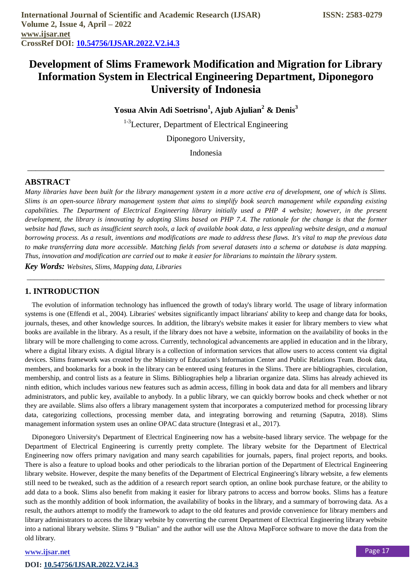# **Development of Slims Framework Modification and Migration for Library Information System in Electrical Engineering Department, Diponegoro University of Indonesia**

**Yosua Alvin Adi Soetrisno<sup>1</sup> , Ajub Ajulian<sup>2</sup> & Denis<sup>3</sup>**

<sup>1-3</sup>Lecturer, Department of Electrical Engineering

Diponegoro University,

Indonesia

\_\_\_\_\_\_\_\_\_\_\_\_\_\_\_\_\_\_\_\_\_\_\_\_\_\_\_\_\_\_\_\_\_\_\_\_\_\_\_\_\_\_\_\_\_\_\_\_\_\_\_\_\_\_\_\_\_\_\_\_\_\_\_\_\_\_\_\_\_\_\_\_\_\_\_\_\_\_\_\_\_\_\_\_\_\_

# **ABSTRACT**

*Many libraries have been built for the library management system in a more active era of development, one of which is Slims. Slims is an open-source library management system that aims to simplify book search management while expanding existing capabilities. The Department of Electrical Engineering library initially used a PHP 4 website; however, in the present development, the library is innovating by adopting Slims based on PHP 7.4. The rationale for the change is that the former website had flaws, such as insufficient search tools, a lack of available book data, a less appealing website design, and a manual borrowing process. As a result, inventions and modifications are made to address these flaws. It's vital to map the previous data to make transferring data more accessible. Matching fields from several datasets into a schema or database is data mapping. Thus, innovation and modification are carried out to make it easier for librarians to maintain the library system. Key Words: Websites, Slims, Mapping data, Libraries*

*\_\_\_\_\_\_\_\_\_\_\_\_\_\_\_\_\_\_\_\_\_\_\_\_\_\_\_\_\_\_\_\_\_\_\_\_\_\_\_\_\_\_\_\_\_\_\_\_\_\_\_\_\_\_\_\_\_\_\_\_\_\_\_\_\_\_\_\_\_\_\_\_\_\_\_\_\_\_\_\_\_\_\_\_\_\_\_\_\_\_\_\_\_\_*

# **1. INTRODUCTION**

The evolution of information technology has influenced the growth of today's library world. The usage of library information systems is one (Effendi et al., 2004). Libraries' websites significantly impact librarians' ability to keep and change data for books, journals, theses, and other knowledge sources. In addition, the library's website makes it easier for library members to view what books are available in the library. As a result, if the library does not have a website, information on the availability of books in the library will be more challenging to come across. Currently, technological advancements are applied in education and in the library, where a digital library exists. A digital library is a collection of information services that allow users to access content via digital devices. Slims framework was created by the Ministry of Education's Information Center and Public Relations Team. Book data, members, and bookmarks for a book in the library can be entered using features in the Slims. There are bibliographies, circulation, membership, and control lists as a feature in Slims. Bibliographies help a librarian organize data. Slims has already achieved its ninth edition, which includes various new features such as admin access, filling in book data and data for all members and library administrators, and public key, available to anybody. In a public library, we can quickly borrow books and check whether or not they are available. Slims also offers a library management system that incorporates a computerized method for processing library data, categorizing collections, processing member data, and integrating borrowing and returning (Saputra, 2018). Slims management information system uses an online OPAC data structure (Integrasi et al., 2017).

Diponegoro University's Department of Electrical Engineering now has a website-based library service. The webpage for the Department of Electrical Engineering is currently pretty complete. The library website for the Department of Electrical Engineering now offers primary navigation and many search capabilities for journals, papers, final project reports, and books. There is also a feature to upload books and other periodicals to the librarian portion of the Department of Electrical Engineering library website. However, despite the many benefits of the Department of Electrical Engineering's library website, a few elements still need to be tweaked, such as the addition of a research report search option, an online book purchase feature, or the ability to add data to a book. Slims also benefit from making it easier for library patrons to access and borrow books. Slims has a feature such as the monthly addition of book information, the availability of books in the library, and a summary of borrowing data. As a result, the authors attempt to modify the framework to adapt to the old features and provide convenience for library members and library administrators to access the library website by converting the current Department of Electrical Engineering library website into a national library website. Slims 9 "Bulian" and the author will use the Altova MapForce software to move the data from the old library.

#### **[www.ijsar.net](https://www.ijsar.net/index.php/ijsar/index)**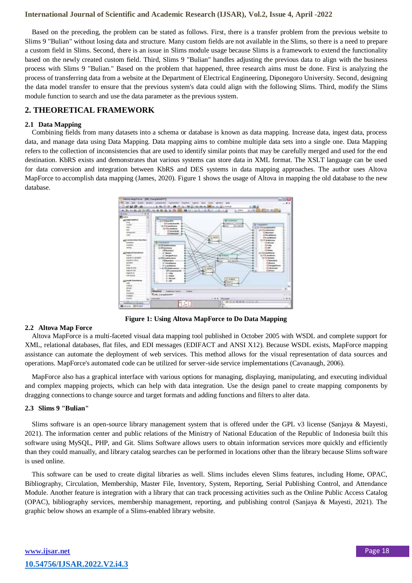Based on the preceding, the problem can be stated as follows. First, there is a transfer problem from the previous website to Slims 9 "Bulian" without losing data and structure. Many custom fields are not available in the Slims, so there is a need to prepare a custom field in Slims. Second, there is an issue in Slims module usage because Slims is a framework to extend the functionality based on the newly created custom field. Third, Slims 9 "Bulian" handles adjusting the previous data to align with the business process with Slims 9 "Bulian." Based on the problem that happened, three research aims must be done. First is analyzing the process of transferring data from a website at the Department of Electrical Engineering, Diponegoro University. Second, designing the data model transfer to ensure that the previous system's data could align with the following Slims. Third, modify the Slims module function to search and use the data parameter as the previous system.

# **2. THEORETICAL FRAMEWORK**

#### **2.1 Data Mapping**

Combining fields from many datasets into a schema or database is known as data mapping. Increase data, ingest data, process data, and manage data using Data Mapping. Data mapping aims to combine multiple data sets into a single one. Data Mapping refers to the collection of inconsistencies that are used to identify similar points that may be carefully merged and used for the end destination. KbRS exists and demonstrates that various systems can store data in XML format. The XSLT language can be used for data conversion and integration between KbRS and DES systems in data mapping approaches. The author uses Altova MapForce to accomplish data mapping (James, 2020). Figure 1 shows the usage of Altova in mapping the old database to the new database.



**Figure 1: Using Altova MapForce to Do Data Mapping**

#### **2.2 Altova Map Force**

Altova MapForce is a multi-faceted visual data mapping tool published in October 2005 with WSDL and complete support for XML, relational databases, flat files, and EDI messages (EDIFACT and ANSI X12). Because WSDL exists, MapForce mapping assistance can automate the deployment of web services. This method allows for the visual representation of data sources and operations. MapForce's automated code can be utilized for server-side service implementations (Cavanaugh, 2006).

MapForce also has a graphical interface with various options for managing, displaying, manipulating, and executing individual and complex mapping projects, which can help with data integration. Use the design panel to create mapping components by dragging connections to change source and target formats and adding functions and filters to alter data.

#### **2.3 Slims 9 "Bulian"**

Slims software is an open-source library management system that is offered under the GPL v3 license (Sanjaya & Mayesti, 2021). The information center and public relations of the Ministry of National Education of the Republic of Indonesia built this software using MySQL, PHP, and Git. Slims Software allows users to obtain information services more quickly and efficiently than they could manually, and library catalog searches can be performed in locations other than the library because Slims software is used online.

This software can be used to create digital libraries as well. Slims includes eleven Slims features, including Home, OPAC, Bibliography, Circulation, Membership, Master File, Inventory, System, Reporting, Serial Publishing Control, and Attendance Module. Another feature is integration with a library that can track processing activities such as the Online Public Access Catalog (OPAC), bibliography services, membership management, reporting, and publishing control (Sanjaya & Mayesti, 2021). The graphic below shows an example of a Slims-enabled library website.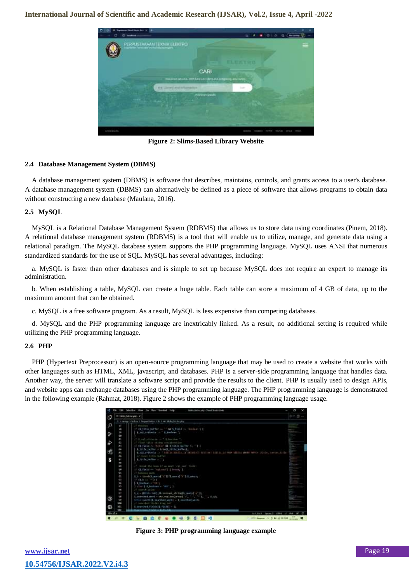

**Figure 2: Slims-Based Library Website**

# **2.4 Database Management System (DBMS)**

A database management system (DBMS) is software that describes, maintains, controls, and grants access to a user's database. A database management system (DBMS) can alternatively be defined as a piece of software that allows programs to obtain data without constructing a new database (Maulana, 2016).

#### **2.5 MySQL**

MySQL is a Relational Database Management System (RDBMS) that allows us to store data using coordinates (Pinem, 2018). A relational database management system (RDBMS) is a tool that will enable us to utilize, manage, and generate data using a relational paradigm. The MySQL database system supports the PHP programming language. MySQL uses ANSI that numerous standardized standards for the use of SQL. MySQL has several advantages, including:

a. MySQL is faster than other databases and is simple to set up because MySQL does not require an expert to manage its administration.

b. When establishing a table, MySQL can create a huge table. Each table can store a maximum of 4 GB of data, up to the maximum amount that can be obtained.

c. MySQL is a free software program. As a result, MySQL is less expensive than competing databases.

d. MySQL and the PHP programming language are inextricably linked. As a result, no additional setting is required while utilizing the PHP programming language.

#### **2.6 PHP**

PHP (Hypertext Preprocessor) is an open-source programming language that may be used to create a website that works with other languages such as HTML, XML, javascript, and databases. PHP is a server-side programming language that handles data. Another way, the server will translate a software script and provide the results to the client. PHP is usually used to design APIs, and website apps can exchange databases using the PHP programming language. The PHP programming language is demonstrated in the following example (Rahmat, 2018). Figure 2 shows the example of PHP programming language usage.



**Figure 3: PHP programming language example**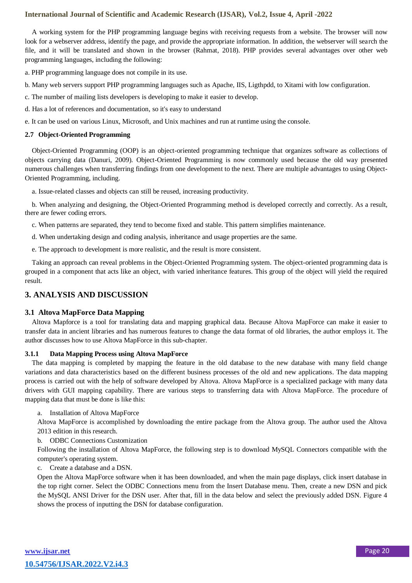A working system for the PHP programming language begins with receiving requests from a website. The browser will now look for a webserver address, identify the page, and provide the appropriate information. In addition, the webserver will search the file, and it will be translated and shown in the browser (Rahmat, 2018). PHP provides several advantages over other web programming languages, including the following:

a. PHP programming language does not compile in its use.

b. Many web servers support PHP programming languages such as Apache, IIS, Ligthpdd, to Xitami with low configuration.

- c. The number of mailing lists developers is developing to make it easier to develop.
- d. Has a lot of references and documentation, so it's easy to understand
- e. It can be used on various Linux, Microsoft, and Unix machines and run at runtime using the console.

#### **2.7 Object-Oriented Programming**

Object-Oriented Programming (OOP) is an object-oriented programming technique that organizes software as collections of objects carrying data (Danuri, 2009). Object-Oriented Programming is now commonly used because the old way presented numerous challenges when transferring findings from one development to the next. There are multiple advantages to using Object-Oriented Programming, including.

a. Issue-related classes and objects can still be reused, increasing productivity.

b. When analyzing and designing, the Object-Oriented Programming method is developed correctly and correctly. As a result, there are fewer coding errors.

c. When patterns are separated, they tend to become fixed and stable. This pattern simplifies maintenance.

- d. When undertaking design and coding analysis, inheritance and usage properties are the same.
- e. The approach to development is more realistic, and the result is more consistent.

Taking an approach can reveal problems in the Object-Oriented Programming system. The object-oriented programming data is grouped in a component that acts like an object, with varied inheritance features. This group of the object will yield the required result.

# **3. ANALYSIS AND DISCUSSION**

#### **3.1 Altova MapForce Data Mapping**

Altova Mapforce is a tool for translating data and mapping graphical data. Because Altova MapForce can make it easier to transfer data in ancient libraries and has numerous features to change the data format of old libraries, the author employs it. The author discusses how to use Altova MapForce in this sub-chapter.

#### **3.1.1 Data Mapping Process using Altova MapForce**

The data mapping is completed by mapping the feature in the old database to the new database with many field change variations and data characteristics based on the different business processes of the old and new applications. The data mapping process is carried out with the help of software developed by Altova. Altova MapForce is a specialized package with many data drivers with GUI mapping capability. There are various steps to transferring data with Altova MapForce. The procedure of mapping data that must be done is like this:

#### a. Installation of Altova MapForce

Altova MapForce is accomplished by downloading the entire package from the Altova group. The author used the Altova 2013 edition in this research.

b. ODBC Connections Customization

Following the installation of Altova MapForce, the following step is to download MySQL Connectors compatible with the computer's operating system.

c. Create a database and a DSN.

Open the Altova MapForce software when it has been downloaded, and when the main page displays, click insert database in the top right corner. Select the ODBC Connections menu from the Insert Database menu. Then, create a new DSN and pick the MySQL ANSI Driver for the DSN user. After that, fill in the data below and select the previously added DSN. Figure 4 shows the process of inputting the DSN for database configuration.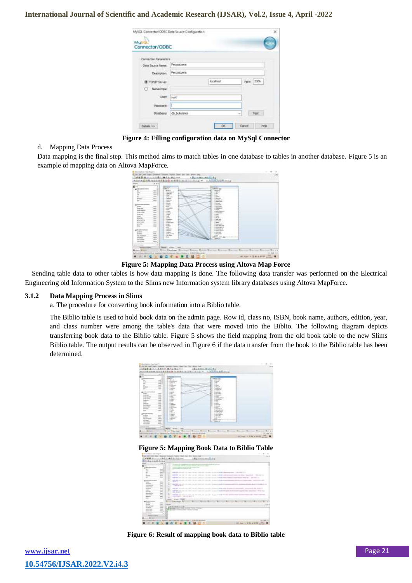| MUSEL <sup>*</sup>    |              |            |               |
|-----------------------|--------------|------------|---------------|
| Connector/ODBC        |              |            |               |
|                       |              |            |               |
| Connection Parameters |              |            |               |
| Oata Source Neme:     | Perzuat ama  |            |               |
| Description:          | Perpust aria |            |               |
| @ YOND Seven          |              | brahast    | 3306<br>Port: |
| C Named Piper         |              |            |               |
| Lisen: Foot           |              |            |               |
| Password:             |              |            |               |
| Database)             | db bukulana  | <b>COL</b> | Test          |

**Figure 4: Filling configuration data on MySql Connector**

#### d. Mapping Data Process

Data mapping is the final step. This method aims to match tables in one database to tables in another database. Figure 5 is an example of mapping data on Altova MapForce.

|                                 | 333                      |                                        |   | AAB MARK MALLASHING HALLERS AND       |  |
|---------------------------------|--------------------------|----------------------------------------|---|---------------------------------------|--|
| e.                              | ٠                        | lar                                    |   | _<br>Saint                            |  |
| glassical books                 |                          | <b>Buch</b>                            |   | -                                     |  |
| 113<br>$\overline{\phantom{a}}$ | m                        | Fascina at                             |   | 1478.0                                |  |
| w                               | ₩                        | 1996, NY                               |   | 1.14                                  |  |
|                                 | m                        | <b>Sec.</b><br><b>College College</b>  |   | $\sim$<br>sales.                      |  |
|                                 | m                        | <b><i><u>Side</u></i></b>              |   | <b>HAAR</b>                           |  |
| w                               | -                        | <i>Contactives</i>                     |   | address of                            |  |
|                                 |                          | i me                                   |   | <b>WARREN</b><br>college a            |  |
|                                 |                          | $1 - 2 - 1$<br><b>ELEMENT</b>          |   | <b>Contractor</b>                     |  |
| <b>START</b>                    |                          | <b>SUPP</b>                            |   | <b>Last Linker</b><br>٠               |  |
| <b>CONTRACTOR</b>               |                          | <b>British</b>                         |   | <b>I manager</b>                      |  |
| <b>Cola Agenta</b>              |                          | <b>Free</b><br><b>Friday</b>           |   | of the fact.<br>JUNIOR AND IN         |  |
| <b>DIA LOS</b>                  | m                        | Limit 1                                |   | to maximum                            |  |
| <b>Hotel</b>                    |                          | <b>Linear</b>                          |   | <b>DOM:</b>                           |  |
| z.                              |                          | <b>COLOR</b><br><b>Separate</b>        |   | <b>Date:</b><br>÷<br><b>ALC</b>       |  |
|                                 | $\overline{\phantom{a}}$ | <b>Comment</b>                         |   | <b>Mark Card</b>                      |  |
| <b>ASSISTE</b>                  | н                        | <b>Limited</b>                         |   | windowed                              |  |
| m                               | m                        | $1 - 1 = 1$                            |   | week.                                 |  |
|                                 | $-$<br>-                 | $1 - 1$<br><b><i><u>BERNIK</u></i></b> |   | <b>Shareway 18 -</b><br><b>HELMAN</b> |  |
|                                 |                          | <b>Britter</b>                         |   | In streets ago of                     |  |
| all for ends meeting            |                          | <b>ELECTRIC</b>                        |   | 2 MALABIA                             |  |
| at that                         | same.                    | <b>E MAINS</b>                         |   | an white Age on                       |  |
| 44,006                          | <b>Total</b>             | <b>Explore</b><br><b>Data</b> parts    |   | 27.984.96<br>IL BELAND                |  |
| <b>HE-REAL</b>                  | m                        | 1 Ad Service                           | ≈ | $-11$                                 |  |
| <b>Hilland</b>                  | w                        | Company of                             |   | <b>STANDARD AND</b>                   |  |
| <b>Brook Street</b>             |                          |                                        |   | <b>Dealer of</b>                      |  |
| <b>HILL DON</b>                 | ÷.                       |                                        |   |                                       |  |
|                                 | œ                        |                                        |   |                                       |  |
| ---                             | <b>Track</b>             |                                        |   |                                       |  |
|                                 |                          |                                        |   |                                       |  |
|                                 |                          |                                        |   |                                       |  |

**Figure 5: Mapping Data Process using Altova Map Force**

Sending table data to other tables is how data mapping is done. The following data transfer was performed on the Electrical Engineering old Information System to the Slims new Information system library databases using Altova MapForce.

#### **3.1.2 Data Mapping Process in Slims**

a. The procedure for converting book information into a Biblio table.

The Biblio table is used to hold book data on the admin page. Row id, class no, ISBN, book name, authors, edition, year, and class number were among the table's data that were moved into the Biblio. The following diagram depicts transferring book data to the Biblio table. Figure 5 shows the field mapping from the old book table to the new Slims Biblio table. The output results can be observed in Figure 6 if the data transfer from the book to the Biblio table has been determined.

|                             |                                                                                                              |                                 |   | 141                                                |
|-----------------------------|--------------------------------------------------------------------------------------------------------------|---------------------------------|---|----------------------------------------------------|
|                             | 5.4.94                                                                                                       | <b><i>RAJRUS</i></b>            |   |                                                    |
|                             |                                                                                                              |                                 |   |                                                    |
| $-11$                       |                                                                                                              |                                 |   |                                                    |
|                             |                                                                                                              |                                 |   |                                                    |
|                             |                                                                                                              |                                 |   |                                                    |
| -                           |                                                                                                              |                                 |   |                                                    |
| -                           |                                                                                                              |                                 |   |                                                    |
| -                           |                                                                                                              |                                 |   |                                                    |
| $\sim$                      |                                                                                                              |                                 |   |                                                    |
|                             |                                                                                                              |                                 |   |                                                    |
|                             |                                                                                                              |                                 |   |                                                    |
|                             |                                                                                                              |                                 |   |                                                    |
| $\sim$<br><b>STATISTICS</b> |                                                                                                              |                                 |   |                                                    |
| m                           |                                                                                                              |                                 |   |                                                    |
|                             |                                                                                                              |                                 |   |                                                    |
|                             |                                                                                                              |                                 |   |                                                    |
|                             |                                                                                                              |                                 |   |                                                    |
|                             |                                                                                                              |                                 |   |                                                    |
|                             |                                                                                                              |                                 |   |                                                    |
| <b>CONSUMER</b>             |                                                                                                              |                                 |   |                                                    |
| $-100$                      |                                                                                                              |                                 |   |                                                    |
| $-100$                      |                                                                                                              |                                 |   |                                                    |
|                             |                                                                                                              |                                 |   |                                                    |
| -<br>$-$                    |                                                                                                              |                                 | m |                                                    |
| <br>                        |                                                                                                              |                                 |   |                                                    |
|                             |                                                                                                              |                                 |   |                                                    |
|                             |                                                                                                              |                                 |   |                                                    |
|                             |                                                                                                              |                                 |   |                                                    |
|                             |                                                                                                              |                                 |   | <b>Figure 5: Mapping Book Data to Biblio Table</b> |
|                             |                                                                                                              |                                 |   | $+44$                                              |
| <b>SALES</b><br>49.9.4      | Albana                                                                                                       | ii se<br><b>Barne</b>           |   |                                                    |
| NUMBRA                      |                                                                                                              |                                 |   |                                                    |
| $-688$                      |                                                                                                              |                                 |   |                                                    |
|                             |                                                                                                              |                                 |   |                                                    |
|                             |                                                                                                              |                                 |   |                                                    |
|                             |                                                                                                              |                                 |   |                                                    |
|                             |                                                                                                              |                                 |   |                                                    |
| ÷                           |                                                                                                              |                                 |   |                                                    |
| to a<br>to a                | $\frac{1}{2} \left( \frac{1}{2} \right) \left( \frac{1}{2} \right) = \frac{1}{2} \left( \frac{1}{2} \right)$ |                                 |   |                                                    |
|                             |                                                                                                              |                                 |   |                                                    |
| --<br>$-$<br>               |                                                                                                              |                                 |   |                                                    |
|                             | <b>Joseph Ave. Inc.</b>                                                                                      |                                 |   |                                                    |
| m<br>m                      | ٠<br>$-$<br>۰                                                                                                |                                 |   |                                                    |
|                             | ٠                                                                                                            |                                 |   |                                                    |
|                             | ×                                                                                                            |                                 |   |                                                    |
|                             |                                                                                                              |                                 |   |                                                    |
|                             | <b>WARRANTEE</b>                                                                                             |                                 |   |                                                    |
| m<br>m.                     | completed to the control of<br>$\rightarrow$                                                                 |                                 |   |                                                    |
|                             | <b>MARK CRAIN</b><br><b>House</b>                                                                            |                                 |   |                                                    |
| $-1000$                     |                                                                                                              |                                 |   |                                                    |
| $\cdots$                    |                                                                                                              |                                 |   |                                                    |
|                             | <b>UNKNIKS</b>                                                                                               |                                 |   |                                                    |
| <b>COLOR</b><br>-<br>$-1$   | a Branching                                                                                                  |                                 |   |                                                    |
| m                           | 注册加                                                                                                          | an about 10 percent controls to |   |                                                    |
|                             |                                                                                                              |                                 |   |                                                    |
|                             |                                                                                                              |                                 |   |                                                    |

THE R. P. LEWIS CO., LANSING MICH. **Figure 6: Result of mapping book data to Biblio table**

| www.ijsar.net               |
|-----------------------------|
| 10.54756/IJSAR.2022.V2.i4.3 |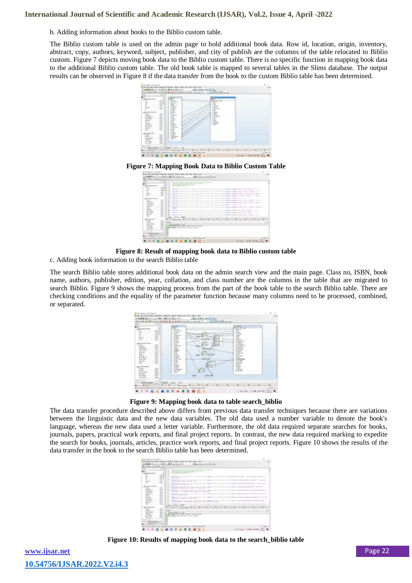b. Adding information about books to the Biblio custom table.

The Biblio custom table is used on the admin page to hold additional book data. Row id, location, origin, inventory, abstract, copy, authors, keyword, subject, publisher, and city of publish are the columns of the table relocated to Biblio custom. Figure 7 depicts moving book data to the Biblio custom table. There is no specific function in mapping book data to the additional Biblio custom table. The old book table is mapped to several tables in the Slims database. The output results can be observed in Figure 8 if the data transfer from the book to the custom Biblio table has been determined.



**Figure 7: Mapping Book Data to Biblio Custom Table**

| ----<br>-<br>----<br>-<br>$-$<br><b>STATISTICS</b><br>-<br>-<br>the party and company of the con-<br><b>Section Section</b><br>-<br>-<br>water of contents in control in the con-<br>commercial distances commer-<br>the commercial state<br>below receivery at the con-<br>Life on<br>$\sim$<br>-<br>caracters of the second time of the<br>$-$<br>--<br>-- |                |
|--------------------------------------------------------------------------------------------------------------------------------------------------------------------------------------------------------------------------------------------------------------------------------------------------------------------------------------------------------------|----------------|
| -<br>-<br><br>the device company's chair in the company's control of<br>win                                                                                                                                                                                                                                                                                  | search for the |
| and the company's class today in company of 1973.<br>$\sim$<br>and the con-<br>$\sim$<br>m<br>77<br>State Cheese<br>---<br>arment<br>$\sim$<br>----<br>$\sim$<br><b>STEP</b><br>w                                                                                                                                                                            | $-222$<br>--   |



c. Adding book information to the search Biblio table

The search Biblio table stores additional book data on the admin search view and the main page. Class no, ISBN, book name, authors, publisher, edition, year, collation, and class number are the columns in the table that are migrated to search Biblio. Figure 9 shows the mapping process from the part of the book table to the search Biblio table. There are checking conditions and the equality of the parameter function because many columns need to be processed, combined, or separated.

| $+11.7$<br>. .<br>all state water-road lands                                                                                | <b>The Corporation</b><br><b>Brand</b><br><b>FARINE</b>                                   |                                                  | فالشتاة<br><b>Since the case</b><br><b>Branch</b><br><b>FWI</b>                                 |  |
|-----------------------------------------------------------------------------------------------------------------------------|-------------------------------------------------------------------------------------------|--------------------------------------------------|-------------------------------------------------------------------------------------------------|--|
| S<br>÷<br>÷<br>٠<br>t.<br><b>Hall</b><br>-                                                                                  | - Esternit<br>To do make a<br><b>Companies</b><br><b>Contractor</b><br><b>Excellent</b>   | <br><b>X 644</b>                                 | <b>Limited</b><br><b>Edward</b><br>2 index<br>2 Sept<br><b>SIGHT</b>                            |  |
| comment is the money<br>$\frac{1}{2} \left( \frac{1}{2} \right) \left( \frac{1}{2} \right) \left( \frac{1}{2} \right)$<br>- | <b>Lines</b><br><b>ISSN</b><br>page.<br>- Electrician                                     | $\sim$<br>u<br><br>$\overline{\phantom{a}}$<br>æ | <b>SILMON</b><br><b>Enterprise</b><br><b>COLOR</b><br><b>STATISTICS</b><br>Linkin Balti, JA     |  |
| <b>Investment</b><br>$-1$<br><b>Press, Ambrid</b><br><b>DOM HOR</b><br><b>British Mile</b>                                  | $-0.000$<br>$-4 + 6 + 7$<br>$-1.09952$<br>1-1 chees<br>$-2 - 4$                           | ٠                                                | <b>WATER</b><br>chiedra dogs<br>$\sim$<br>colored game<br>comments of<br><b>Located control</b> |  |
| MAC<br>뜺                                                                                                                    | 1 Avril 4<br><b>Britisher</b><br><b>Expense</b><br>$-2$ = mode to model<br><b>Company</b> | $\sim$<br>-94-41<br>$\sim$                       | <b>Single</b><br>\$100 p.m.<br>$1 - 2 - 1$<br><b>ARTISTS AND</b><br><b>Little come</b>          |  |
| ×<br>s<br>πï,                                                                                                               | <b>Call Color</b><br><b>State</b><br><b>Little</b><br><b>Imperi</b>                       | 1.1 Kar<br>--<br><b><i>Products from</i></b>     | <b>SALAR</b><br>A Arachan<br>Loan<br><b>London</b>                                              |  |
| Ę<br>m                                                                                                                      | <b>COMMER</b><br><b>CONTRACTOR</b><br>$-190 - 600$<br>1. Color                            | $\overline{\phantom{a}}$                         | $1 - 1$<br><b>CONTRACTOR</b><br><b>Links</b>                                                    |  |
| Ë<br><b>MOVEMENT</b>                                                                                                        |                                                                                           | <b>CERA</b><br><b>CONTRACTOR</b>                 |                                                                                                 |  |
| <b>The Color</b><br>                                                                                                        | 18 percent<br><b>HALL</b>                                                                 |                                                  |                                                                                                 |  |

**Figure 9: Mapping book data to table search\_biblio**

The data transfer procedure described above differs from previous data transfer techniques because there are variations between the linguistic data and the new data variables. The old data used a number variable to denote the book's language, whereas the new data used a letter variable. Furthermore, the old data required separate searches for books, journals, papers, practical work reports, and final project reports. In contrast, the new data required marking to expedite the search for books, journals, articles, practice work reports, and final project reports. Figure 10 shows the results of the data transfer in the book to the search Biblio table has been determined.

|                                        | and the property of the control of the control of the control of the con-<br>and the property of the local                 |                   |                                                                                                                           |
|----------------------------------------|----------------------------------------------------------------------------------------------------------------------------|-------------------|---------------------------------------------------------------------------------------------------------------------------|
| ÷<br>$\sim$<br>$\sim$<br>۰<br>$\equiv$ | <b>CONTRACTOR</b><br>--                                                                                                    |                   | the second come assessed the                                                                                              |
| $\equiv$<br>m<br>m                     | appropriate and content experience and the property should                                                                 |                   |                                                                                                                           |
| -                                      | and the rest age times on<br>come come in the season will                                                                  | <b>STATISTICS</b> | $\frac{1}{2} \left( \frac{1}{2} \right) \left( \frac{1}{2} \right) \left( \frac{1}{2} \right) \left( \frac{1}{2} \right)$ |
|                                        | and the property of the control of the control of the con-<br>Chevrolet Andrew March<br>with the committee of              |                   |                                                                                                                           |
|                                        | <b>STORY CONSULTING THE STATE OF THE</b>                                                                                   |                   |                                                                                                                           |
|                                        | address the concentration of the con-<br>children the bookley deadly                                                       |                   |                                                                                                                           |
| -<br>$\sim$                            | the product of the company of the company of the company of the company<br>٠<br>temporary for the company's and controller |                   |                                                                                                                           |
| -<br>$\sim$                            | ٠<br>sentence and control of the last start and the control dealer starts and the control                                  |                   | ------                                                                                                                    |
| -                                      | <b>Widels Chand</b>                                                                                                        | 4.911.00<br>n a   |                                                                                                                           |
|                                        | ----<br>-                                                                                                                  |                   |                                                                                                                           |
|                                        |                                                                                                                            |                   |                                                                                                                           |
|                                        | 444年起的人 10<br><b>CONTRACTOR</b><br>Wall-Hiller-Class - www. Tripped                                                        |                   |                                                                                                                           |
|                                        | CORAN DREAL PRODUCTIONAL INVESTIGATION CON-                                                                                |                   |                                                                                                                           |

**Figure 10: Results of mapping book data to the search\_biblio table**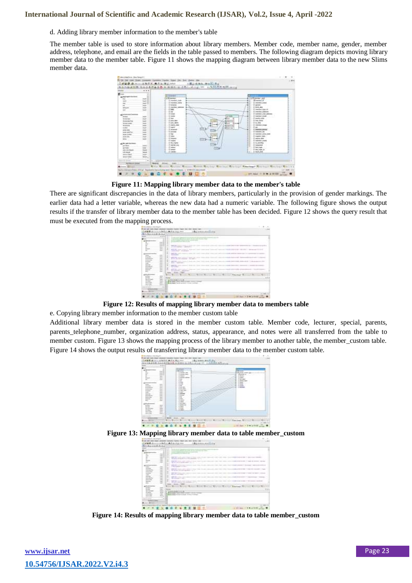#### d. Adding library member information to the member's table

The member table is used to store information about library members. Member code, member name, gender, member address, telephone, and email are the fields in the table passed to members. The following diagram depicts moving library member data to the member table. Figure 11 shows the mapping diagram between library member data to the new Slims member data.



**Figure 11: Mapping library member data to the member's table**

There are significant discrepancies in the data of library members, particularly in the provision of gender markings. The earlier data had a letter variable, whereas the new data had a numeric variable. The following figure shows the output results if the transfer of library member data to the member table has been decided. Figure 12 shows the query result that must be executed from the mapping process.



**Figure 12: Results of mapping library member data to members table**

e. Copying library member information to the member custom table

Additional library member data is stored in the member custom table. Member code, lecturer, special, parents, parents\_telephone\_number, organization address, status, appearance, and notes were all transferred from the table to member custom. Figure 13 shows the mapping process of the library member to another table, the member\_custom table. Figure 14 shows the output results of transferring library member data to the member custom table.





|                                   | $-4.44$       |                                                                             |  |   |  |
|-----------------------------------|---------------|-----------------------------------------------------------------------------|--|---|--|
|                                   |               | the property of the country of the party and the country<br><b>STERNOOM</b> |  |   |  |
|                                   |               | <b>Science</b>                                                              |  |   |  |
|                                   |               | <b>BUTTING STATE CARDS</b><br>and the to develop service and the con-       |  |   |  |
| $-$                               | ٠             | <b>The Second International</b>                                             |  | . |  |
|                                   | æ<br>÷<br>. . | <b>GRAND BOTTOM</b><br>a complete programmation and<br><b>STATE OF</b>      |  |   |  |
| ļ                                 | $-$           |                                                                             |  |   |  |
| ground and                        |               | <b>Window</b><br><b>HELE</b>                                                |  |   |  |
| mo bot                            |               | <b>TOURSEES</b><br>--                                                       |  |   |  |
| ----<br><b>And Service Annual</b> |               |                                                                             |  |   |  |

**Figure 14: Results of mapping library member data to table member\_custom**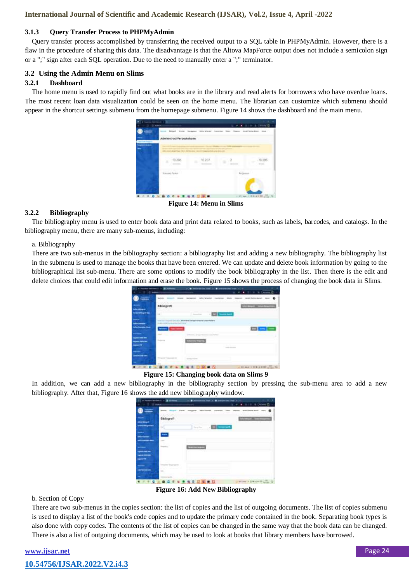#### **3.1.3 Query Transfer Process to PHPMyAdmin**

Query transfer process accomplished by transferring the received output to a SQL table in PHPMyAdmin. However, there is a flaw in the procedure of sharing this data. The disadvantage is that the Altova MapForce output does not include a semicolon sign or a ";" sign after each SQL operation. Due to the need to manually enter a ";" terminator.

### **3.2 Using the Admin Menu on Slims**

#### **3.2.1 Dashboard**

The home menu is used to rapidly find out what books are in the library and read alerts for borrowers who have overdue loans. The most recent loan data visualization could be seen on the home menu. The librarian can customize which submenu should appear in the shortcut settings submenu from the homepage submenu. Figure 14 shows the dashboard and the main menu.



**Figure 14: Menu in Slims**

#### **3.2.2 Bibliography**

The bibliography menu is used to enter book data and print data related to books, such as labels, barcodes, and catalogs. In the bibliography menu, there are many sub-menus, including:

#### a. Bibliography

There are two sub-menus in the bibliography section: a bibliography list and adding a new bibliography. The bibliography list in the submenu is used to manage the books that have been entered. We can update and delete book information by going to the bibliographical list sub-menu. There are some options to modify the book bibliography in the list. Then there is the edit and delete choices that could edit information and erase the book. Figure 15 shows the process of changing the book data in Slims.

| Bibliografi |                                      |                             |
|-------------|--------------------------------------|-----------------------------|
| <br>$\sim$  | $-$ 00 $-$ 000 $-$<br><b>Service</b> |                             |
|             | 100000                               |                             |
| --          |                                      | $= -1$                      |
|             | <b>College Street</b>                |                             |
|             |                                      | $-0.001$                    |
|             |                                      |                             |
| 14.1        |                                      |                             |
|             | ω<br>n                               | on see = 9 w e 6100 anno 12 |

**Figure 15: Changing book data on Slims 9**

In addition, we can add a new bibliography in the bibliography section by pressing the sub-menu area to add a new bibliography. After that, Figure 16 shows the add new bibliography window.

| <b>SELL</b>        |              | 49<br>an locate to       |
|--------------------|--------------|--------------------------|
| <b>Bibliografi</b> |              |                          |
| w                  | Denver Kings | <b>Contract Contract</b> |
|                    |              |                          |
| <b>STATE</b><br>÷  |              |                          |
| <b>Country</b>     |              |                          |
|                    |              |                          |
|                    |              |                          |
|                    |              |                          |
| bon-               |              |                          |
| <b>PITTS</b>       | - 243        |                          |
|                    | 年夏日          |                          |

**Figure 16: Add New Bibliography**

#### b. Section of Copy

There are two sub-menus in the copies section: the list of copies and the list of outgoing documents. The list of copies submenu is used to display a list of the book's code copies and to update the primary code contained in the book. Separating book types is also done with copy codes. The contents of the list of copies can be changed in the same way that the book data can be changed. There is also a list of outgoing documents, which may be used to look at books that library members have borrowed.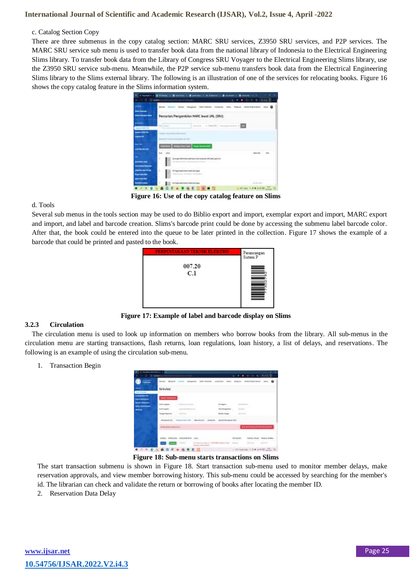#### c. Catalog Section Copy

There are three submenus in the copy catalog section: MARC SRU services, Z3950 SRU services, and P2P services. The MARC SRU service sub menu is used to transfer book data from the national library of Indonesia to the Electrical Engineering Slims library. To transfer book data from the Library of Congress SRU Voyager to the Electrical Engineering Slims library, use the Z3950 SRU service sub-menu. Meanwhile, the P2P service sub-menu transfers book data from the Electrical Engineering Slims library to the Slims external library. The following is an illustration of one of the services for relocating books. Figure 16 shows the copy catalog feature in the Slims information system.

| L - C - Lives                                               | <b>Passo &amp; 19 Secolul II</b>                                                                                                 |                                    |
|-------------------------------------------------------------|----------------------------------------------------------------------------------------------------------------------------------|------------------------------------|
| -<br><b>Information</b><br><b>Information Colors</b>        | mount after women<br><b>Sections Comments</b><br>Pencarian/Pengambilan MARC lewat URL (SRU)                                      | ment lease to an Inter &           |
| <b>Home of the</b>                                          | the Louis                                                                                                                        |                                    |
| <b>TORIC COM AN</b><br><b>HARACTER</b>                      | Scandally Frank too delivering to a 1981                                                                                         |                                    |
| <b>LOW BACHING</b>                                          | the Electric Council and Company and                                                                                             |                                    |
| -<br><b>TELEVISION</b><br><b>The behalfdayers</b>           | ti, p<br>.<br>E<br>Stangevestimide average until Amerie 2003 (e) gachter.<br>ally builderstate. Although & technological control |                                    |
| cand became from<br><b><i><u>Sur locald</u></i></b><br>---- | ×<br>3) Paget search and countries baget<br>town flame survivant tired inner.                                                    |                                    |
| ---                                                         | 2170 VA AND VIRGINIAL FIGHT AND REGULA                                                                                           | $-10 - 0 = 0.01$                   |
|                                                             | и                                                                                                                                | <b>WE SAN IN BY A WILE COLLECT</b> |

**Figure 16: Use of the copy catalog feature on Slims**

#### d. Tools

Several sub menus in the tools section may be used to do Biblio export and import, exemplar export and import, MARC export and import, and label and barcode creation. Slims's barcode print could be done by accessing the submenu label barcode color. After that, the book could be entered into the queue to be later printed in the collection. Figure 17 shows the example of a barcode that could be printed and pasted to the book.



**Figure 17: Example of label and barcode display on Slims**

#### **3.2.3 Circulation**

The circulation menu is used to look up information on members who borrow books from the library. All sub-menus in the circulation menu are starting transactions, flash returns, loan regulations, loan history, a list of delays, and reservations. The following is an example of using the circulation sub-menu.

1. Transaction Begin

| <b>DO Block</b>                                               |                                                                                                         |                                                                                                                                                                                                                                                                                                                                                                                                                                                                                                                                 |
|---------------------------------------------------------------|---------------------------------------------------------------------------------------------------------|---------------------------------------------------------------------------------------------------------------------------------------------------------------------------------------------------------------------------------------------------------------------------------------------------------------------------------------------------------------------------------------------------------------------------------------------------------------------------------------------------------------------------------|
| $\sim$                                                        | <b>CONTRACTOR</b><br><b>Continued</b><br>$-21$<br><b>BURNE</b> MAGAZI INCOM<br><b>SALES FOR</b>         | 10.1.10.1<br>the first construction in the first construc-<br>÷.<br>could broken down! Asian<br>painters has reach.                                                                                                                                                                                                                                                                                                                                                                                                             |
| <b>Scan Francisco</b>                                         | Sirikulosi                                                                                              |                                                                                                                                                                                                                                                                                                                                                                                                                                                                                                                                 |
| <b>Inspiration of the</b><br><b><i><u>Programment</u></i></b> | <b><i><u>SEATTLE CONTROL</u></i></b>                                                                    |                                                                                                                                                                                                                                                                                                                                                                                                                                                                                                                                 |
| ----<br>$\overline{\phantom{a}}$                              | <b><i>CONTRACTORY</i></b><br>Management and the state of<br><b>CONTRACTOR</b>                           | . At arranged<br><b>CONTRACTOR</b><br>-31                                                                                                                                                                                                                                                                                                                                                                                                                                                                                       |
| _                                                             | <b>School School</b><br><b>CONTRACTOR</b><br><b>Secure Advertiser</b>                                   | $\frac{1}{2} \left( \frac{1}{2} \right) \left( \frac{1}{2} \right) \left( \frac{1}{2} \right) \left( \frac{1}{2} \right) \left( \frac{1}{2} \right) \left( \frac{1}{2} \right) \left( \frac{1}{2} \right) \left( \frac{1}{2} \right) \left( \frac{1}{2} \right) \left( \frac{1}{2} \right) \left( \frac{1}{2} \right) \left( \frac{1}{2} \right) \left( \frac{1}{2} \right) \left( \frac{1}{2} \right) \left( \frac{1}{2} \right) \left( \frac{1}{2} \right) \left( \frac$<br><b>CONTRACTOR</b><br>---<br><b>Months Filippi</b> |
|                                                               | <b>MARK</b><br><b>BOOTHING TO SUPERFORM</b><br><b>Andeless Rd.</b><br><b>CONSULTANT AND AND ARRESTS</b> |                                                                                                                                                                                                                                                                                                                                                                                                                                                                                                                                 |
|                                                               | said dealer designation of 1.1.                                                                         |                                                                                                                                                                                                                                                                                                                                                                                                                                                                                                                                 |
|                                                               | 40461 SERGAN COLORADO LES                                                                               | Translat, Tre.prd.<br><b>INCHER</b>                                                                                                                                                                                                                                                                                                                                                                                                                                                                                             |
|                                                               | The expression of the Minister states into<br>--                                                        | Rock,<br>d is a frit with a most of<br><b>STARTING</b>                                                                                                                                                                                                                                                                                                                                                                                                                                                                          |
| - 6                                                           | ■ 但                                                                                                     | or art instrume. It is a started                                                                                                                                                                                                                                                                                                                                                                                                                                                                                                |

**Figure 18: Sub-menu starts transactions on Slims**

The start transaction submenu is shown in Figure 18. Start transaction sub-menu used to monitor member delays, make reservation approvals, and view member borrowing history. This sub-menu could be accessed by searching for the member's id. The librarian can check and validate the return or borrowing of books after locating the member ID.

2. Reservation Data Delay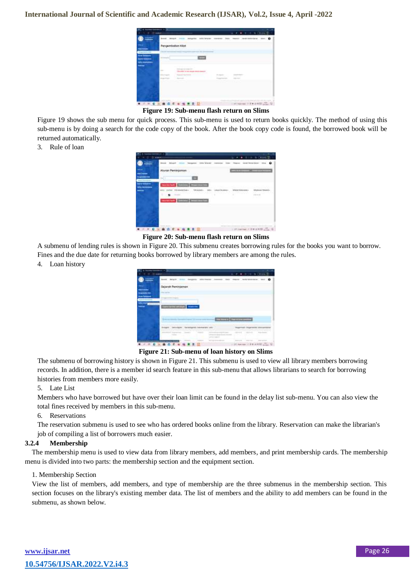| --  | <b>MAA18</b><br>And up<br><b>Scottist</b> | ۰                             |
|-----|-------------------------------------------|-------------------------------|
| --- | Pangambolice Kildt                        |                               |
|     | ▭<br>-11                                  |                               |
|     | $\sim$                                    |                               |
|     | ٠<br>                                     | w<br><b>CONTRACTOR</b><br>. . |
|     |                                           |                               |
|     |                                           |                               |

**Figure 19: Sub-menu flash return on Slims**

Figure 19 shows the sub menu for quick process. This sub-menu is used to return books quickly. The method of using this sub-menu is by doing a search for the code copy of the book. After the book copy code is found, the borrowed book will be returned automatically.

3. Rule of loan



**Figure 20: Sub-menu flash return on Slims**

A submenu of lending rules is shown in Figure 20. This submenu creates borrowing rules for the books you want to borrow. Fines and the due date for returning books borrowed by library members are among the rules.

4. Loan history

|              |   |                    |       |   | $\bullet$ |
|--------------|---|--------------------|-------|---|-----------|
| --           |   | Sejorah Peminjanan |       |   |           |
|              | ÷ |                    |       |   |           |
|              |   |                    |       |   |           |
| --<br>$\sim$ |   |                    |       |   |           |
|              |   |                    |       |   |           |
|              |   |                    |       |   |           |
|              |   |                    |       |   |           |
|              |   |                    | ۰<br> | ╌ |           |
|              |   |                    |       |   |           |
|              |   |                    |       |   |           |
|              |   |                    |       |   |           |

**Figure 21: Sub-menu of loan history on Slims**

The submenu of borrowing history is shown in Figure 21. This submenu is used to view all library members borrowing records. In addition, there is a member id search feature in this sub-menu that allows librarians to search for borrowing histories from members more easily.

#### 5. Late List

Members who have borrowed but have over their loan limit can be found in the delay list sub-menu. You can also view the total fines received by members in this sub-menu.

#### 6. Reservations

The reservation submenu is used to see who has ordered books online from the library. Reservation can make the librarian's job of compiling a list of borrowers much easier.

#### **3.2.4 Membership**

The membership menu is used to view data from library members, add members, and print membership cards. The membership menu is divided into two parts: the membership section and the equipment section.

#### 1. Membership Section

View the list of members, add members, and type of membership are the three submenus in the membership section. This section focuses on the library's existing member data. The list of members and the ability to add members can be found in the submenu, as shown below.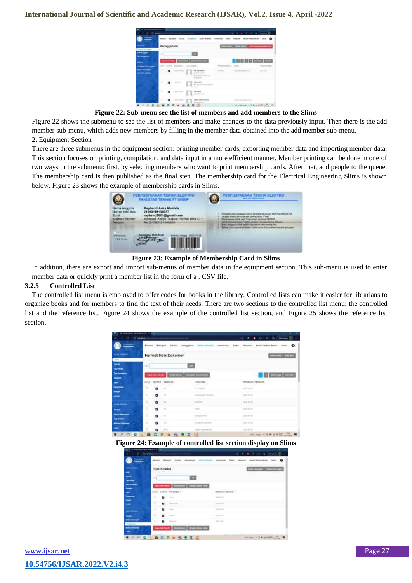| Line Defeat to paint                          | Keoreggohderi |                                                                                                                                                                                                                                                                                                                                                                                                                             |     | <b>Colorado e al Carlo de Marca de Alega en la colora</b> |  |
|-----------------------------------------------|---------------|-----------------------------------------------------------------------------------------------------------------------------------------------------------------------------------------------------------------------------------------------------------------------------------------------------------------------------------------------------------------------------------------------------------------------------|-----|-----------------------------------------------------------|--|
| <b>START START</b><br><b>The Montgomerica</b> | w             |                                                                                                                                                                                                                                                                                                                                                                                                                             |     |                                                           |  |
|                                               | two box from  |                                                                                                                                                                                                                                                                                                                                                                                                                             |     | <b>CONTRACTOR</b>                                         |  |
|                                               |               |                                                                                                                                                                                                                                                                                                                                                                                                                             | $-$ | <b>Andrew A</b>                                           |  |
| ---<br><b>AND STARTS</b>                      | ٠             | <b>A 6/8 000</b><br><b>Quickletown</b>                                                                                                                                                                                                                                                                                                                                                                                      |     |                                                           |  |
|                                               |               | --<br>$8 - 11$                                                                                                                                                                                                                                                                                                                                                                                                              |     |                                                           |  |
|                                               |               | $\frac{1}{1 + \sqrt{1 + \frac{1}{1 + \frac{1}{1 + \frac{1}{1 + \frac{1}{1 + \frac{1}{1 + \frac{1}{1 + \frac{1}{1 + \frac{1}{1 + \frac{1}{1 + \frac{1}{1 + \frac{1}{1 + \frac{1}{1 + \frac{1}{1 + \frac{1}{1 + \frac{1}{1 + \frac{1}{1 + \frac{1}{1 + \frac{1}{1 + \frac{1}{1 + \frac{1}{1 + \frac{1}{1 + \frac{1}{1 + \frac{1}{1 + \frac{1}{1 + \frac{1}{1 + \frac{1}{1 + \frac{1}{1 + \frac{1}{1 + \frac{1}{1 + \frac{1}{$ |     |                                                           |  |
|                                               | ٠             |                                                                                                                                                                                                                                                                                                                                                                                                                             |     |                                                           |  |

**Figure 22: Sub-menu see the list of members and add members to the Slims**

Figure 22 shows the submenu to see the list of members and make changes to the data previously input. Then there is the add member sub-menu, which adds new members by filling in the member data obtained into the add member sub-menu.

2. Equipment Section

There are three submenus in the equipment section: printing member cards, exporting member data and importing member data. This section focuses on printing, compilation, and data input in a more efficient manner. Member printing can be done in one of two ways in the submenu: first, by selecting members who want to print membership cards. After that, add people to the queue. The membership card is then published as the final step. The membership card for the Electrical Engineering Slims is shown below. Figure 23 shows the example of membership cards in Slims.



**Figure 23: Example of Membership Card in Slims**

In addition, there are export and import sub-menus of member data in the equipment section. This sub-menu is used to enter member data or quickly print a member list in the form of a . CSV file.

#### **3.2.5 Controlled List**

The controlled list menu is employed to offer codes for books in the library. Controlled lists can make it easier for librarians to organize books and for members to find the text of their needs. There are two sections to the controlled list menu: the controlled list and the reference list. Figure 24 shows the example of the controlled list section, and Figure 25 shows the reference list section.

| <b>Personal God Genetic View 198</b>            |              |     |                                                            |                                                                                              |                                     |                                 |
|-------------------------------------------------|--------------|-----|------------------------------------------------------------|----------------------------------------------------------------------------------------------|-------------------------------------|---------------------------------|
| O D MANA                                        |              |     | manyic committee for                                       |                                                                                              |                                     | $0.581 + 0.1010$ (mem $1 -$     |
| <b>Concession</b>                               |              |     |                                                            | Belows School Global Integration transformate instituted Deep Angeles: Institute better than |                                     | $\Omega$                        |
| and had discovered.<br><b>Live</b>              |              |     | Format Fisik Dokumen                                       |                                                                                              |                                     | <b>CONTRACTOR</b>               |
| <b>Tion is:</b><br><b>Tips Health</b>           | 444.11       |     |                                                            |                                                                                              |                                     |                                 |
| <b>Tips Furnitings</b><br>$\blacktriangleright$ |              |     | <b>Tops from Septim Chemic Series Company Series Foods</b> |                                                                                              |                                     | 1 3 Mary 24 av                  |
| ÷                                               | <b>HAFLE</b> |     | SAITHI 400E.040+<br>one and the                            | NAME RAD +                                                                                   | PROGRAMA TENANIA -<br>그리고 회사의 소리 방문 |                                 |
| <b>Temperment</b><br><b>Hotel</b>               | Ħ            |     | $\sim$                                                     | an <i>katu</i> patén<br>(811) Started                                                        | $-0.07 - 0.06 - 0.06$               |                                 |
| <b>Lease</b>                                    | $\Box$       | . . |                                                            | Contingent for Name of                                                                       | <b>High Art At</b>                  |                                 |
| -----                                           | в            |     | <b>17 mm</b>                                               | <b>CELEDAR</b>                                                                               | <b>JAPAN</b>                        |                                 |
| يسبب                                            | $\Box$       | ٠   | $\sim$                                                     | <b>STATE</b>                                                                                 | $-0.414$                            |                                 |
| <b>PATRIC LEASE COMPANY</b><br>Trys beams       | п            | ٠   | お湯                                                         | Computer Hits                                                                                | $-0.01 - 0.01 - 0.01$               |                                 |
| <b>Baltimore Production</b>                     | ы            | в   | ba.                                                        | CONTRACTOR                                                                                   | 22723                               |                                 |
| Later                                           | o            | n   | 1.300                                                      | Frank work from                                                                              | $-284-84-8$                         |                                 |
| $\blacksquare$                                  | п            |     |                                                            | Θ                                                                                            |                                     | - 24C Ram = 0 W H H H H H H H H |

**Figure 24: Example of controlled list section display on Slims**

| --  |                                                                            | ۰                                                     |
|-----|----------------------------------------------------------------------------|-------------------------------------------------------|
|     | <b>Tipe Koleksi</b>                                                        | <b>Contract Contract</b><br><b>Contract Card Corp</b> |
|     | <b>Sec</b><br><b>GM</b>                                                    | $\overline{\phantom{a}}$                              |
|     | <b>The Country Country</b><br>THE HOUSE + 1<br><b>SLANT BASE</b><br>$\sim$ | <b>THE REAL PROPE</b><br><b>RRANGE DRAUGHT</b>        |
| ◆   | н<br>ы<br>-                                                                | <b>Address</b>                                        |
| سند | π<br>o                                                                     | <b>District Co.</b>                                   |
|     | в<br>£3                                                                    | <b>POINT</b>                                          |
|     | ٠<br>42<br><b>Service</b>                                                  | <b>DOM: NO</b>                                        |
|     | m<br>a<br>÷                                                                | $-100 - 100$                                          |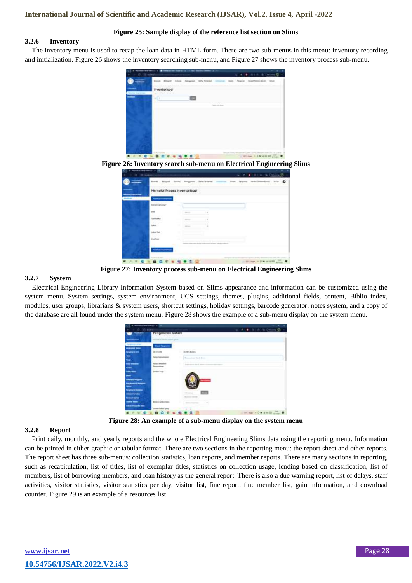#### **Figure 25: Sample display of the reference list section on Slims**

#### **3.2.6 Inventory**

The inventory menu is used to recap the loan data in HTML form. There are two sub-menus in this menu: inventory recording and initialization. Figure 26 shows the inventory searching sub-menu, and Figure 27 shows the inventory process sub-menu.



**Figure 26: Inventory search sub-menu on Electrical Engineering Slims**

|                 | Reness - Altimore             |    | <b><i>Eather Tackschool</i></b> | model becam kerger : resum :<br>Martin | $\omega$<br>÷ |
|-----------------|-------------------------------|----|---------------------------------|----------------------------------------|---------------|
| <b>Barbaran</b> | Memuloi Proses Inventorisasi  |    |                                 |                                        |               |
|                 | <b>Butter Internet family</b> | m, |                                 |                                        |               |
|                 | or and                        |    |                                 |                                        |               |
|                 | $\sim$<br>Tokicket            |    |                                 |                                        |               |
|                 | Lykest 1                      |    |                                 |                                        |               |
|                 | Lokas Text                    |    |                                 |                                        |               |
|                 | <b><i><u>ESPERA</u></i></b>   |    |                                 |                                        |               |
|                 |                               |    |                                 |                                        |               |
|                 |                               |    |                                 |                                        |               |

**Figure 27: Inventory process sub-menu on Electrical Engineering Slims**

#### **3.2.7 System**

Electrical Engineering Library Information System based on Slims appearance and information can be customized using the system menu. System settings, system environment, UCS settings, themes, plugins, additional fields, content, Biblio index, modules, user groups, librarians & system users, shortcut settings, holiday settings, barcode generator, notes system, and a copy of the database are all found under the system menu. Figure 28 shows the example of a sub-menu display on the system menu.

|                                                         | <b>Constitution</b> of the co-              |                                 |                    |
|---------------------------------------------------------|---------------------------------------------|---------------------------------|--------------------|
| (1, 0)                                                  |                                             |                                 |                    |
|                                                         | Pengoturan Satem                            |                                 |                    |
|                                                         | Secretary in a defection can brain optical. |                                 |                    |
| <b>ESCRIPT</b>                                          | <b>Make Fargeton</b>                        |                                 |                    |
| <b>Processing</b>                                       | 48.8 5.05<br>w.                             | <b>HISTANIA</b>                 |                    |
| Ξ                                                       | ņ.                                          | <b>Time</b><br>and March Golden |                    |
|                                                         | w<br><b><i><u>Spring Templeton</u></i></b>  |                                 |                    |
| m                                                       | <b>SERVICE</b>                              |                                 |                    |
|                                                         |                                             | --                              |                    |
| <b><i><u>Schmidt &amp; Returns</u></i></b>              |                                             |                                 |                    |
| <b>Thing the St. Thomas of</b><br><b>SHARF FOR LINE</b> |                                             | $\overline{a}$                  |                    |
| <b>Noman Barnet</b>                                     | ----                                        |                                 |                    |
| <b><i><u>The Company's Company</u></i></b>              |                                             |                                 |                    |
|                                                         | Jacobert Lechting game                      |                                 |                    |
|                                                         |                                             |                                 | $=91.0$ m $=9.0$ M |

**Figure 28: An example of a sub-menu display on the system menu**

#### **3.2.8 Report**

Print daily, monthly, and yearly reports and the whole Electrical Engineering Slims data using the reporting menu. Information can be printed in either graphic or tabular format. There are two sections in the reporting menu: the report sheet and other reports. The report sheet has three sub-menus: collection statistics, loan reports, and member reports. There are many sections in reporting, such as recapitulation, list of titles, list of exemplar titles, statistics on collection usage, lending based on classification, list of members, list of borrowing members, and loan history as the general report. There is also a due warning report, list of delays, staff activities, visitor statistics, visitor statistics per day, visitor list, fine report, fine member list, gain information, and download counter. Figure 29 is an example of a resources list.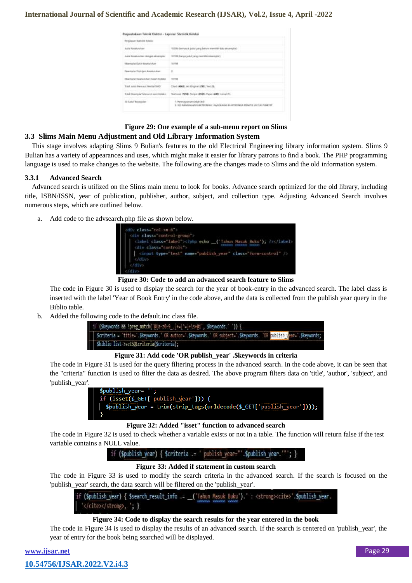| Regissor: Sureki & Yuleksi            |                                                                                                         |
|---------------------------------------|---------------------------------------------------------------------------------------------------------|
| holid Kesaturukan                     | 1920k derivasik jokal yang belum memiliki itata sesengi                                                 |
| July Keseluruhan dengan eksenyaar     | 10708 (French Julial yang memiliki eksemptor).                                                          |
| Editorizated at Chatte Automity/UNLen | 11114                                                                                                   |
| Desemptor Diplogam Keessusukum:       | ū                                                                                                       |
| Stiamptor Excelanutur: Dalam Robitol  | 10718                                                                                                   |
| Total Auto Menural Media/GMD          | Elset (4962), Art Grigine (295), Text (8).                                                              |
| Total Downgria/ Menorch Jon's Asiaka' | Textbook (7258), Skigst (2553), Teper (400), Junui (9),                                                 |
| 12 July) Total 12                     | 1. Perencessinant Debaka B.B.<br>2 300 SANGKANN SLECTRONIKI, KANGKANN SLEETRONKA PANKTIE LINTUK MISBYST |

### **Figure 29: One example of a sub-menu report on Slims 3.3 Slims Main Menu Adjustment and Old Library Information System**

This stage involves adapting Slims 9 Bulian's features to the old Electrical Engineering library information system. Slims 9 Bulian has a variety of appearances and uses, which might make it easier for library patrons to find a book. The PHP programming language is used to make changes to the website. The following are the changes made to Slims and the old information system.

#### **3.3.1 Advanced Search**

Advanced search is utilized on the Slims main menu to look for books. Advance search optimized for the old library, including title, ISBN/ISSN, year of publication, publisher, author, subject, and collection type. Adjusting Advanced Search involves numerous steps, which are outlined below.

a. Add code to the advsearch.php file as shown below.



**Figure 30: Code to add an advanced search feature to Slims**

The code in Figure 30 is used to display the search for the year of book-entry in the advanced search. The label class is inserted with the label 'Year of Book Entry' in the code above, and the data is collected from the publish year query in the Biblio table.

b. Added the following code to the default.inc class file.

| if (Skeywords && !preg_match('@[a-z0-9_.]+=[^=]+\s+@i', \$keywords.'')) {                                          |
|--------------------------------------------------------------------------------------------------------------------|
| Scriteria = "title=".\$keywords." OR author=".\$keywords." OR subject=".\$keywords. "OR sublish year=".\$keywords; |
| \$biblio list->setSQLcriteria(\$criteria);                                                                         |

#### **Figure 31: Add code 'OR publish\_year' .\$keywords in criteria**

The code in Figure 31 is used for the query filtering process in the advanced search. In the code above, it can be seen that the "criteria" function is used to filter the data as desired. The above program filters data on 'title', 'author', 'subject', and 'publish\_year'.



#### **Figure 32: Added "isset" function to advanced search**

The code in Figure 32 is used to check whether a variable exists or not in a table. The function will return false if the test variable contains a NULL value.

> if (Spublish year) { \$criteria .= ' publish year=" Spublish year

#### **Figure 33: Added if statement in custom search**

The code in Figure 33 is used to modify the search criteria in the advanced search. If the search is focused on the 'publish\_year' search, the data search will be filtered on the 'publish\_year'.

if (Spublish year) { Ssearch result info .= ('Tahun Masuk Buku').' : <strong><cite>'.Spublish year. '</cite></strong>, '; }

#### **Figure 34: Code to display the search results for the year entered in the book**

The code in Figure 34 is used to display the results of an advanced search. If the search is centered on 'publish\_year', the year of entry for the book being searched will be displayed.

| www.ijsar.net               |  |
|-----------------------------|--|
| 10.54756/IJSAR.2022.V2.i4.3 |  |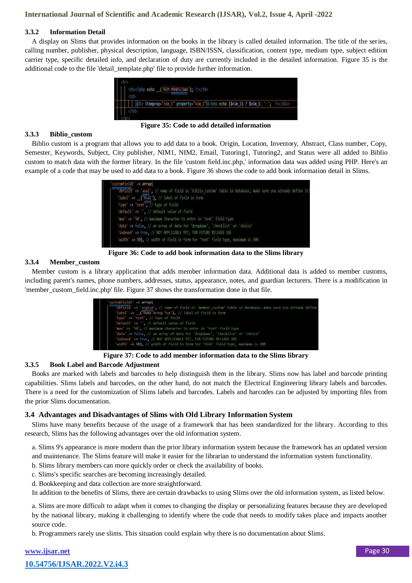#### **3.3.2 Information Detail**

A display on Slims that provides information on the books in the library is called detailed information. The title of the series, calling number, publisher, physical description, language, ISBN/ISSN, classification, content type, medium type, subject edition carrier type, specific detailed info, and declaration of duty are currently included in the detailed information. Figure 35 is the additional code to the file 'detail\_template.php' file to provide further information.



**Figure 35: Code to add detailed information**

#### **3.3.3 Biblio\_custom**

Biblio custom is a program that allows you to add data to a book. Origin, Location, Inventory, Abstract, Class number, Copy, Semester, Keywords, Subject, City publisher, NIM1, NIM2, Email, Tutoring1, Tutoring2, and Status were all added to Biblio custom to match data with the former library. In the file 'custom field.inc.php,' information data was added using PHP. Here's an example of a code that may be used to add data to a book. Figure 36 shows the code to add book information detail in Slims.

| dotteld' => 'ssal', // name of field in 'biblio custom' table in database, make sure you already define it! |
|-------------------------------------------------------------------------------------------------------------|
| "label" >> ("Asal"), // label of field in form                                                              |
| type => "text", // type of field                                                                            |
| default >> ", // default volue of field.                                                                    |
| "max" => "50", // maximum character to enter in "text" field type                                           |
| 'data' => false, // an array of data for 'dropdown', 'checklist' or 'choice'                                |
| indexed" +> true, // NOT APPLECABLE YET, FOR FUTURE RELEASE USE                                             |
| "width" => 50), // width of field in form for 'text' field type, maximum is 190                             |

**Figure 36: Code to add book information data to the Slims library**

#### **3.3.4 Member\_custom**

Member custom is a library application that adds member information data. Additional data is added to member customs, including parent's names, phone numbers, addresses, status, appearance, notes, and guardian lecturers. There is a modification in 'member\_custom\_field.inc.php' file. Figure 37 shows the transformation done in that file.

| customfield2 +> array(                                                                                    |
|-----------------------------------------------------------------------------------------------------------|
| ddbfield -> 'orgtua', // name of field in 'member_custom' table in database, muke sure you already define |
| 'intel' -> ('Namma Orang Tua'), // label of field in form                                                 |
| "type' => 'text', // type of field                                                                        |
| "default" as " . // default value of field                                                                |
| 'max' =3 '58', ?/ maximum character to enter in 'test' field type                                         |
| "dota" => faine, // an array of data for "dropdown", "checklist" or "choica"                              |
| indexed" => true, // NOT APPLICABLE YET, FOR FUTURE RELEASE USE                                           |
| "width" => 50), // width of field in form for 'text' field type, maximum is 100                           |

**Figure 37: Code to add member information data to the Slims library**

#### **3.3.5 Book Label and Barcode Adjustment**

Books are marked with labels and barcodes to help distinguish them in the library. Slims now has label and barcode printing capabilities. Slims labels and barcodes, on the other hand, do not match the Electrical Engineering library labels and barcodes. There is a need for the customization of Slims labels and barcodes. Labels and barcodes can be adjusted by importing files from the prior Slims documentation.

# **3.4 Advantages and Disadvantages of Slims with Old Library Information System**

Slims have many benefits because of the usage of a framework that has been standardized for the library. According to this research, Slims has the following advantages over the old information system.

a. Slims 9's appearance is more modern than the prior library information system because the framework has an updated version and maintenance. The Slims feature will make it easier for the librarian to understand the information system functionality.

- b. Slims library members can more quickly order or check the availability of books.
- c. Slims's specific searches are becoming increasingly detailed.
- d. Bookkeeping and data collection are more straightforward.

In addition to the benefits of Slims, there are certain drawbacks to using Slims over the old information system, as listed below.

a. Slims are more difficult to adapt when it comes to changing the display or personalizing features because they are developed by the national library, making it challenging to identify where the code that needs to modify takes place and impacts another source code.

b. Programmers rarely use slims. This situation could explain why there is no documentation about Slims.